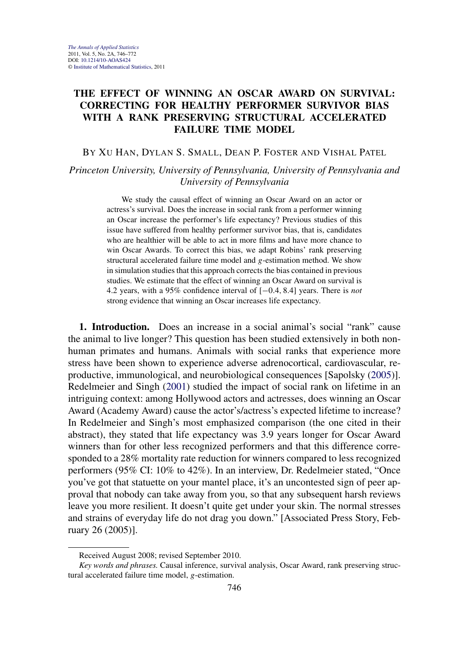# **THE EFFECT OF WINNING AN OSCAR AWARD ON SURVIVAL: CORRECTING FOR HEALTHY PERFORMER SURVIVOR BIAS WITH A RANK PRESERVING STRUCTURAL ACCELERATED FAILURE TIME MODEL**

BY XU HAN, DYLAN S. SMALL, DEAN P. FOSTER AND VISHAL PATEL

*Princeton University, University of Pennsylvania, University of Pennsylvania and University of Pennsylvania*

> We study the causal effect of winning an Oscar Award on an actor or actress's survival. Does the increase in social rank from a performer winning an Oscar increase the performer's life expectancy? Previous studies of this issue have suffered from healthy performer survivor bias, that is, candidates who are healthier will be able to act in more films and have more chance to win Oscar Awards. To correct this bias, we adapt Robins' rank preserving structural accelerated failure time model and *g*-estimation method. We show in simulation studies that this approach corrects the bias contained in previous studies. We estimate that the effect of winning an Oscar Award on survival is 4.2 years, with a 95% confidence interval of [−0*.*4*,* 8*.*4] years. There is *not* strong evidence that winning an Oscar increases life expectancy.

**1. Introduction.** Does an increase in a social animal's social "rank" cause the animal to live longer? This question has been studied extensively in both nonhuman primates and humans. Animals with social ranks that experience more stress have been shown to experience adverse adrenocortical, cardiovascular, reproductive, immunological, and neurobiological consequences [Sapolsky [\(2005\)](#page-25-0)]. Redelmeier and Singh [\(2001\)](#page-25-0) studied the impact of social rank on lifetime in an intriguing context: among Hollywood actors and actresses, does winning an Oscar Award (Academy Award) cause the actor's/actress's expected lifetime to increase? In Redelmeier and Singh's most emphasized comparison (the one cited in their abstract), they stated that life expectancy was 3.9 years longer for Oscar Award winners than for other less recognized performers and that this difference corresponded to a 28% mortality rate reduction for winners compared to less recognized performers (95% CI: 10% to 42%). In an interview, Dr. Redelmeier stated, "Once you've got that statuette on your mantel place, it's an uncontested sign of peer approval that nobody can take away from you, so that any subsequent harsh reviews leave you more resilient. It doesn't quite get under your skin. The normal stresses and strains of everyday life do not drag you down." [Associated Press Story, February 26 (2005)].

Received August 2008; revised September 2010.

*Key words and phrases.* Causal inference, survival analysis, Oscar Award, rank preserving structural accelerated failure time model, *g*-estimation.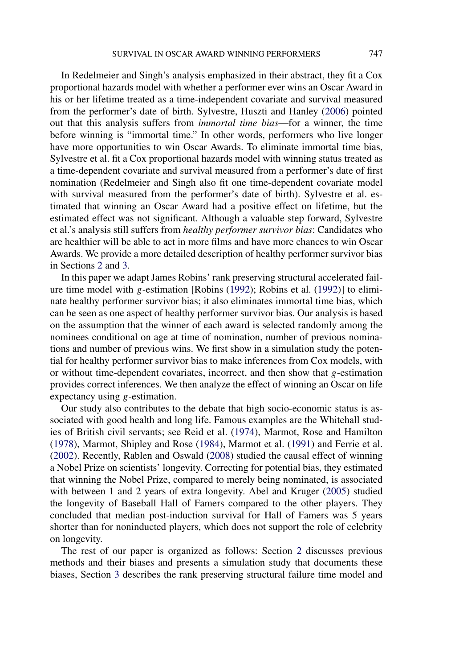In Redelmeier and Singh's analysis emphasized in their abstract, they fit a Cox proportional hazards model with whether a performer ever wins an Oscar Award in his or her lifetime treated as a time-independent covariate and survival measured from the performer's date of birth. Sylvestre, Huszti and Hanley [\(2006\)](#page-26-0) pointed out that this analysis suffers from *immortal time bias*—for a winner, the time before winning is "immortal time." In other words, performers who live longer have more opportunities to win Oscar Awards. To eliminate immortal time bias, Sylvestre et al. fit a Cox proportional hazards model with winning status treated as a time-dependent covariate and survival measured from a performer's date of first nomination (Redelmeier and Singh also fit one time-dependent covariate model with survival measured from the performer's date of birth). Sylvestre et al. estimated that winning an Oscar Award had a positive effect on lifetime, but the estimated effect was not significant. Although a valuable step forward, Sylvestre et al.'s analysis still suffers from *healthy performer survivor bias*: Candidates who are healthier will be able to act in more films and have more chances to win Oscar Awards. We provide a more detailed description of healthy performer survivor bias in Sections [2](#page-2-0) and [3.](#page-12-0)

In this paper we adapt James Robins' rank preserving structural accelerated failure time model with *g*-estimation [Robins [\(1992\)](#page-25-0); Robins et al. [\(1992\)](#page-25-0)] to eliminate healthy performer survivor bias; it also eliminates immortal time bias, which can be seen as one aspect of healthy performer survivor bias. Our analysis is based on the assumption that the winner of each award is selected randomly among the nominees conditional on age at time of nomination, number of previous nominations and number of previous wins. We first show in a simulation study the potential for healthy performer survivor bias to make inferences from Cox models, with or without time-dependent covariates, incorrect, and then show that *g*-estimation provides correct inferences. We then analyze the effect of winning an Oscar on life expectancy using *g*-estimation.

Our study also contributes to the debate that high socio-economic status is associated with good health and long life. Famous examples are the Whitehall studies of British civil servants; see Reid et al. [\(1974\)](#page-25-0), Marmot, Rose and Hamilton [\(1978\)](#page-25-0), Marmot, Shipley and Rose [\(1984\)](#page-25-0), Marmot et al. [\(1991\)](#page-25-0) and Ferrie et al. [\(2002\)](#page-24-0). Recently, Rablen and Oswald [\(2008\)](#page-25-0) studied the causal effect of winning a Nobel Prize on scientists' longevity. Correcting for potential bias, they estimated that winning the Nobel Prize, compared to merely being nominated, is associated with between 1 and 2 years of extra longevity. Abel and Kruger [\(2005\)](#page-24-0) studied the longevity of Baseball Hall of Famers compared to the other players. They concluded that median post-induction survival for Hall of Famers was 5 years shorter than for noninducted players, which does not support the role of celebrity on longevity.

The rest of our paper is organized as follows: Section [2](#page-2-0) discusses previous methods and their biases and presents a simulation study that documents these biases, Section [3](#page-12-0) describes the rank preserving structural failure time model and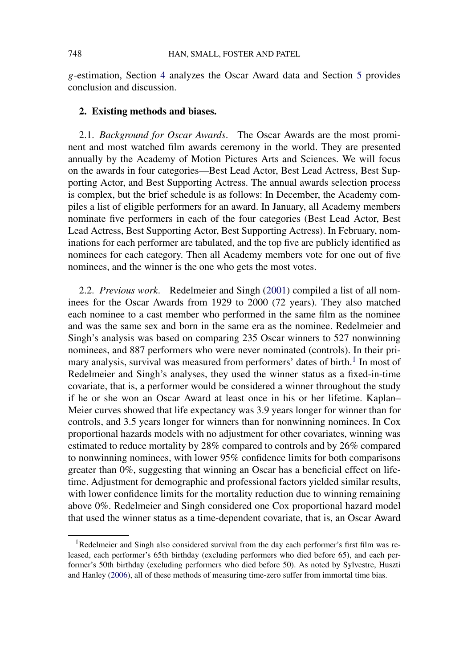<span id="page-2-0"></span>*g*-estimation, Section [4](#page-18-0) analyzes the Oscar Award data and Section [5](#page-22-0) provides conclusion and discussion.

#### **2. Existing methods and biases.**

2.1. *Background for Oscar Awards*. The Oscar Awards are the most prominent and most watched film awards ceremony in the world. They are presented annually by the Academy of Motion Pictures Arts and Sciences. We will focus on the awards in four categories—Best Lead Actor, Best Lead Actress, Best Supporting Actor, and Best Supporting Actress. The annual awards selection process is complex, but the brief schedule is as follows: In December, the Academy compiles a list of eligible performers for an award. In January, all Academy members nominate five performers in each of the four categories (Best Lead Actor, Best Lead Actress, Best Supporting Actor, Best Supporting Actress). In February, nominations for each performer are tabulated, and the top five are publicly identified as nominees for each category. Then all Academy members vote for one out of five nominees, and the winner is the one who gets the most votes.

2.2. *Previous work*. Redelmeier and Singh [\(2001\)](#page-25-0) compiled a list of all nominees for the Oscar Awards from 1929 to 2000 (72 years). They also matched each nominee to a cast member who performed in the same film as the nominee and was the same sex and born in the same era as the nominee. Redelmeier and Singh's analysis was based on comparing 235 Oscar winners to 527 nonwinning nominees, and 887 performers who were never nominated (controls). In their primary analysis, survival was measured from performers' dates of birth.<sup>1</sup> In most of Redelmeier and Singh's analyses, they used the winner status as a fixed-in-time covariate, that is, a performer would be considered a winner throughout the study if he or she won an Oscar Award at least once in his or her lifetime. Kaplan– Meier curves showed that life expectancy was 3.9 years longer for winner than for controls, and 3.5 years longer for winners than for nonwinning nominees. In Cox proportional hazards models with no adjustment for other covariates, winning was estimated to reduce mortality by 28% compared to controls and by 26% compared to nonwinning nominees, with lower 95% confidence limits for both comparisons greater than 0%, suggesting that winning an Oscar has a beneficial effect on lifetime. Adjustment for demographic and professional factors yielded similar results, with lower confidence limits for the mortality reduction due to winning remaining above 0%. Redelmeier and Singh considered one Cox proportional hazard model that used the winner status as a time-dependent covariate, that is, an Oscar Award

<sup>&</sup>lt;sup>1</sup>Redelmeier and Singh also considered survival from the day each performer's first film was released, each performer's 65th birthday (excluding performers who died before 65), and each performer's 50th birthday (excluding performers who died before 50). As noted by Sylvestre, Huszti and Hanley [\(2006\)](#page-26-0), all of these methods of measuring time-zero suffer from immortal time bias.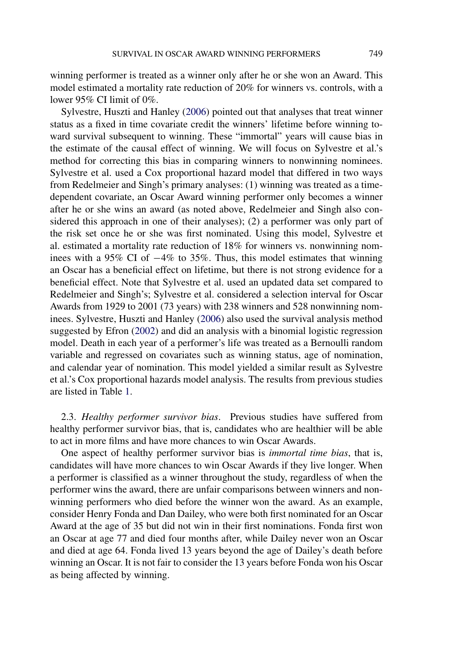winning performer is treated as a winner only after he or she won an Award. This model estimated a mortality rate reduction of 20% for winners vs. controls, with a lower 95% CI limit of 0%.

Sylvestre, Huszti and Hanley [\(2006\)](#page-26-0) pointed out that analyses that treat winner status as a fixed in time covariate credit the winners' lifetime before winning toward survival subsequent to winning. These "immortal" years will cause bias in the estimate of the causal effect of winning. We will focus on Sylvestre et al.'s method for correcting this bias in comparing winners to nonwinning nominees. Sylvestre et al. used a Cox proportional hazard model that differed in two ways from Redelmeier and Singh's primary analyses: (1) winning was treated as a timedependent covariate, an Oscar Award winning performer only becomes a winner after he or she wins an award (as noted above, Redelmeier and Singh also considered this approach in one of their analyses); (2) a performer was only part of the risk set once he or she was first nominated. Using this model, Sylvestre et al. estimated a mortality rate reduction of 18% for winners vs. nonwinning nominees with a 95% CI of  $-4\%$  to 35%. Thus, this model estimates that winning an Oscar has a beneficial effect on lifetime, but there is not strong evidence for a beneficial effect. Note that Sylvestre et al. used an updated data set compared to Redelmeier and Singh's; Sylvestre et al. considered a selection interval for Oscar Awards from 1929 to 2001 (73 years) with 238 winners and 528 nonwinning nominees. Sylvestre, Huszti and Hanley [\(2006\)](#page-26-0) also used the survival analysis method suggested by Efron [\(2002\)](#page-24-0) and did an analysis with a binomial logistic regression model. Death in each year of a performer's life was treated as a Bernoulli random variable and regressed on covariates such as winning status, age of nomination, and calendar year of nomination. This model yielded a similar result as Sylvestre et al.'s Cox proportional hazards model analysis. The results from previous studies are listed in Table [1.](#page-4-0)

2.3. *Healthy performer survivor bias*. Previous studies have suffered from healthy performer survivor bias, that is, candidates who are healthier will be able to act in more films and have more chances to win Oscar Awards.

One aspect of healthy performer survivor bias is *immortal time bias*, that is, candidates will have more chances to win Oscar Awards if they live longer. When a performer is classified as a winner throughout the study, regardless of when the performer wins the award, there are unfair comparisons between winners and nonwinning performers who died before the winner won the award. As an example, consider Henry Fonda and Dan Dailey, who were both first nominated for an Oscar Award at the age of 35 but did not win in their first nominations. Fonda first won an Oscar at age 77 and died four months after, while Dailey never won an Oscar and died at age 64. Fonda lived 13 years beyond the age of Dailey's death before winning an Oscar. It is not fair to consider the 13 years before Fonda won his Oscar as being affected by winning.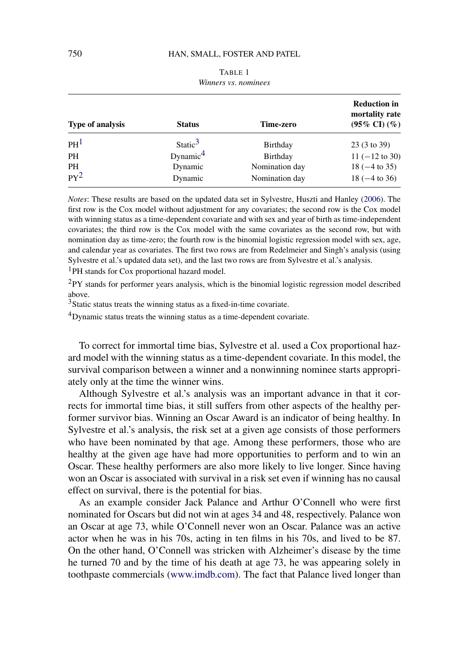<span id="page-4-0"></span>

| <b>Type of analysis</b> | <b>Status</b>        | Time-zero      | <b>Reduction in</b><br>mortality rate<br>$(95\% \text{ CI}) (\%)$ |  |
|-------------------------|----------------------|----------------|-------------------------------------------------------------------|--|
| PH <sup>1</sup>         | Static $3$           | Birthday       | 23 (3 to 39)                                                      |  |
| <b>PH</b>               | Dynamic <sup>4</sup> | Birthday       | $11 (-12 to 30)$                                                  |  |
| <b>PH</b>               | Dynamic              | Nomination day | $18 (-4 to 35)$                                                   |  |
| $PV^2$                  | Dynamic              | Nomination day | $18(-4 \text{ to } 36)$                                           |  |

#### TABLE 1 *Winners vs*. *nominees*

*Notes*: These results are based on the updated data set in Sylvestre, Huszti and Hanley [\(2006\)](#page-26-0). The first row is the Cox model without adjustment for any covariates; the second row is the Cox model with winning status as a time-dependent covariate and with sex and year of birth as time-independent covariates; the third row is the Cox model with the same covariates as the second row, but with nomination day as time-zero; the fourth row is the binomial logistic regression model with sex, age, and calendar year as covariates. The first two rows are from Redelmeier and Singh's analysis (using Sylvestre et al.'s updated data set), and the last two rows are from Sylvestre et al.'s analysis.

<sup>1</sup>PH stands for Cox proportional hazard model.

<sup>2</sup>PY stands for performer years analysis, which is the binomial logistic regression model described above.

<sup>3</sup>Static status treats the winning status as a fixed-in-time covariate.

4Dynamic status treats the winning status as a time-dependent covariate.

To correct for immortal time bias, Sylvestre et al. used a Cox proportional hazard model with the winning status as a time-dependent covariate. In this model, the survival comparison between a winner and a nonwinning nominee starts appropriately only at the time the winner wins.

Although Sylvestre et al.'s analysis was an important advance in that it corrects for immortal time bias, it still suffers from other aspects of the healthy performer survivor bias. Winning an Oscar Award is an indicator of being healthy. In Sylvestre et al.'s analysis, the risk set at a given age consists of those performers who have been nominated by that age. Among these performers, those who are healthy at the given age have had more opportunities to perform and to win an Oscar. These healthy performers are also more likely to live longer. Since having won an Oscar is associated with survival in a risk set even if winning has no causal effect on survival, there is the potential for bias.

As an example consider Jack Palance and Arthur O'Connell who were first nominated for Oscars but did not win at ages 34 and 48, respectively. Palance won an Oscar at age 73, while O'Connell never won an Oscar. Palance was an active actor when he was in his 70s, acting in ten films in his 70s, and lived to be 87. On the other hand, O'Connell was stricken with Alzheimer's disease by the time he turned 70 and by the time of his death at age 73, he was appearing solely in toothpaste commercials [\(www.imdb.com](http://www.imdb.com)). The fact that Palance lived longer than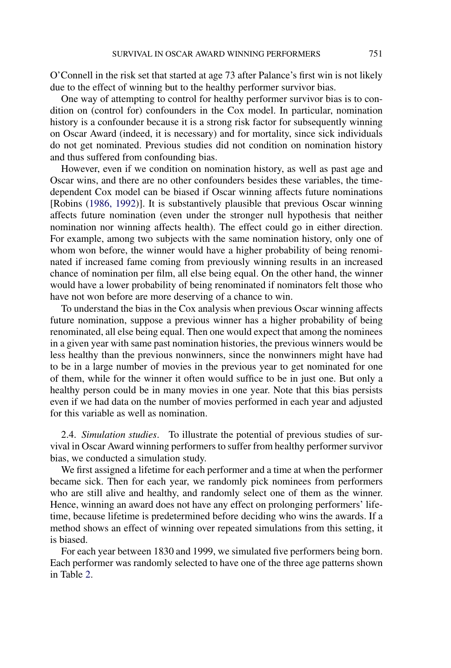<span id="page-5-0"></span>O'Connell in the risk set that started at age 73 after Palance's first win is not likely due to the effect of winning but to the healthy performer survivor bias.

One way of attempting to control for healthy performer survivor bias is to condition on (control for) confounders in the Cox model. In particular, nomination history is a confounder because it is a strong risk factor for subsequently winning on Oscar Award (indeed, it is necessary) and for mortality, since sick individuals do not get nominated. Previous studies did not condition on nomination history and thus suffered from confounding bias.

However, even if we condition on nomination history, as well as past age and Oscar wins, and there are no other confounders besides these variables, the timedependent Cox model can be biased if Oscar winning affects future nominations [Robins [\(1986, 1992\)](#page-25-0)]. It is substantively plausible that previous Oscar winning affects future nomination (even under the stronger null hypothesis that neither nomination nor winning affects health). The effect could go in either direction. For example, among two subjects with the same nomination history, only one of whom won before, the winner would have a higher probability of being renominated if increased fame coming from previously winning results in an increased chance of nomination per film, all else being equal. On the other hand, the winner would have a lower probability of being renominated if nominators felt those who have not won before are more deserving of a chance to win.

To understand the bias in the Cox analysis when previous Oscar winning affects future nomination, suppose a previous winner has a higher probability of being renominated, all else being equal. Then one would expect that among the nominees in a given year with same past nomination histories, the previous winners would be less healthy than the previous nonwinners, since the nonwinners might have had to be in a large number of movies in the previous year to get nominated for one of them, while for the winner it often would suffice to be in just one. But only a healthy person could be in many movies in one year. Note that this bias persists even if we had data on the number of movies performed in each year and adjusted for this variable as well as nomination.

2.4. *Simulation studies*. To illustrate the potential of previous studies of survival in Oscar Award winning performers to suffer from healthy performer survivor bias, we conducted a simulation study.

We first assigned a lifetime for each performer and a time at when the performer became sick. Then for each year, we randomly pick nominees from performers who are still alive and healthy, and randomly select one of them as the winner. Hence, winning an award does not have any effect on prolonging performers' lifetime, because lifetime is predetermined before deciding who wins the awards. If a method shows an effect of winning over repeated simulations from this setting, it is biased.

For each year between 1830 and 1999, we simulated five performers being born. Each performer was randomly selected to have one of the three age patterns shown in Table [2.](#page-6-0)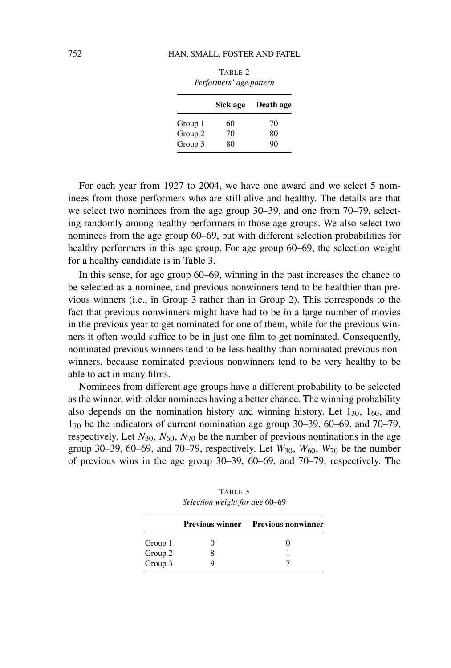| Sick age | Death age |
|----------|-----------|
| 60       | 70        |
| 70       | 80        |
| 80       | 90        |
|          |           |

TABLE 2 *Performers' age pattern*

<span id="page-6-0"></span>For each year from 1927 to 2004, we have one award and we select 5 nominees from those performers who are still alive and healthy. The details are that we select two nominees from the age group 30–39, and one from 70–79, selecting randomly among healthy performers in those age groups. We also select two nominees from the age group 60–69, but with different selection probabilities for healthy performers in this age group. For age group 60–69, the selection weight for a healthy candidate is in Table 3.

In this sense, for age group 60–69, winning in the past increases the chance to be selected as a nominee, and previous nonwinners tend to be healthier than previous winners (i.e., in Group 3 rather than in Group 2). This corresponds to the fact that previous nonwinners might have had to be in a large number of movies in the previous year to get nominated for one of them, while for the previous winners it often would suffice to be in just one film to get nominated. Consequently, nominated previous winners tend to be less healthy than nominated previous nonwinners, because nominated previous nonwinners tend to be very healthy to be able to act in many films.

Nominees from different age groups have a different probability to be selected as the winner, with older nominees having a better chance. The winning probability also depends on the nomination history and winning history. Let  $1_{30}$ ,  $1_{60}$ , and  $1<sub>70</sub>$  be the indicators of current nomination age group 30–39, 60–69, and 70–79, respectively. Let  $N_{30}$ ,  $N_{60}$ ,  $N_{70}$  be the number of previous nominations in the age group 30–39, 60–69, and 70–79, respectively. Let  $W_{30}$ ,  $W_{60}$ ,  $W_{70}$  be the number of previous wins in the age group 30–39, 60–69, and 70–79, respectively. The

| Selection weight for age 60–69 |   |                                           |  |  |  |
|--------------------------------|---|-------------------------------------------|--|--|--|
|                                |   | <b>Previous winner</b> Previous nonwinner |  |  |  |
| Group 1                        |   |                                           |  |  |  |
| Group 2                        | x |                                           |  |  |  |
| Group 3                        |   |                                           |  |  |  |

TABLE 3 *Selection weight for age* 60*–*69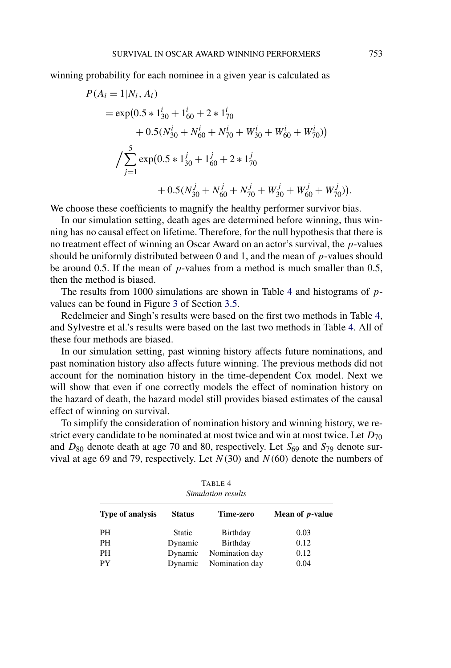<span id="page-7-0"></span>winning probability for each nominee in a given year is calculated as

$$
P(A_i = 1 | \underline{N_i}, \underline{A_i})
$$
  
= exp(0.5 \* 1<sup>i</sup><sub>30</sub> + 1<sup>i</sup><sub>60</sub> + 2 \* 1<sup>i</sup><sub>70</sub>  
+ 0.5( $N_{30}^i$  +  $N_{60}^i$  +  $N_{70}^i$  +  $W_{30}^i$  +  $W_{60}^i$  +  $W_{70}^i$ ))  

$$
\Big/ \sum_{j=1}^5 \exp(0.5 * 1_{30}^j + 1_{60}^j + 2 * 1_{70}^j + 1_{70}^j + 0.5(N_{30}^j + N_{60}^j + N_{70}^j + W_{30}^j + W_{60}^j + W_{70}^j)).
$$

We choose these coefficients to magnify the healthy performer survivor bias.

In our simulation setting, death ages are determined before winning, thus winning has no causal effect on lifetime. Therefore, for the null hypothesis that there is no treatment effect of winning an Oscar Award on an actor's survival, the *p*-values should be uniformly distributed between 0 and 1, and the mean of *p*-values should be around 0.5. If the mean of *p*-values from a method is much smaller than 0.5, then the method is biased.

The results from 1000 simulations are shown in Table 4 and histograms of *p*values can be found in Figure [3](#page-18-0) of Section [3.5.](#page-17-0)

Redelmeier and Singh's results were based on the first two methods in Table 4, and Sylvestre et al.'s results were based on the last two methods in Table 4. All of these four methods are biased.

In our simulation setting, past winning history affects future nominations, and past nomination history also affects future winning. The previous methods did not account for the nomination history in the time-dependent Cox model. Next we will show that even if one correctly models the effect of nomination history on the hazard of death, the hazard model still provides biased estimates of the causal effect of winning on survival.

To simplify the consideration of nomination history and winning history, we restrict every candidate to be nominated at most twice and win at most twice. Let  $D_{70}$ and *D*<sup>80</sup> denote death at age 70 and 80, respectively. Let *S*<sup>69</sup> and *S*<sup>79</sup> denote survival at age 69 and 79, respectively. Let  $N(30)$  and  $N(60)$  denote the numbers of

| Simulation results      |                            |                |                         |  |  |  |
|-------------------------|----------------------------|----------------|-------------------------|--|--|--|
| <b>Type of analysis</b> | <b>Status</b><br>Time-zero |                | Mean of <i>p</i> -value |  |  |  |
| <b>PH</b>               | <b>Static</b>              | Birthday       | 0.03                    |  |  |  |
| <b>PH</b>               | Dynamic                    | Birthday       | 0.12                    |  |  |  |
| <b>PH</b>               | Dynamic                    | Nomination day | 0.12                    |  |  |  |
| <b>PY</b>               | Dynamic                    | Nomination day | 0.04                    |  |  |  |

TABLE 4 *Simulation results*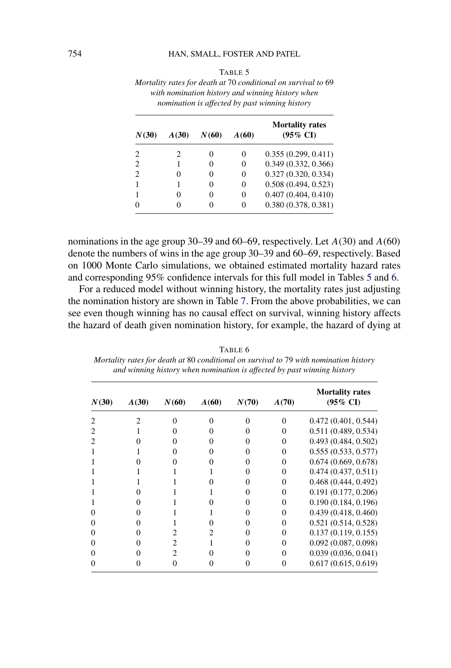| N(30)        | A(30)                  | N(60)            | A(60)    | <b>Mortality rates</b><br>$(95\% \text{ CI})$ |
|--------------|------------------------|------------------|----------|-----------------------------------------------|
| 2            | $\mathfrak{D}_{\cdot}$ |                  |          | 0.355(0.299, 0.411)                           |
| 2            |                        | 0                | 0        | 0.349(0.332, 0.366)                           |
| 2            | 0                      | $\theta$         | $\theta$ | 0.327(0.320, 0.334)                           |
| $\mathbf{1}$ |                        | 0                | 0        | 0.508(0.494, 0.523)                           |
| -1           | 0                      | 0                | 0        | 0.407(0.404, 0.410)                           |
| $\Omega$     | 0                      | $\left( \right)$ | $\theta$ | 0.380(0.378, 0.381)                           |

<span id="page-8-0"></span>

| TABLE 5                                                       |
|---------------------------------------------------------------|
| Mortality rates for death at 70 conditional on survival to 69 |
| with nomination history and winning history when              |
| nomination is affected by past winning history                |

nominations in the age group 30–39 and 60–69, respectively. Let *A(*30*)* and *A(*60*)* denote the numbers of wins in the age group 30–39 and 60–69, respectively. Based on 1000 Monte Carlo simulations, we obtained estimated mortality hazard rates and corresponding 95% confidence intervals for this full model in Tables 5 and 6.

For a reduced model without winning history, the mortality rates just adjusting the nomination history are shown in Table [7.](#page-9-0) From the above probabilities, we can see even though winning has no causal effect on survival, winning history affects the hazard of death given nomination history, for example, the hazard of dying at

TABLE 6 *Mortality rates for death at* 80 *conditional on survival to* 79 *with nomination history and winning history when nomination is affected by past winning history*

| N(30)          | A(30) | N(60) | A(60) | N(70)        | A(70)    | <b>Mortality rates</b><br>$(95\% \text{ CI})$ |
|----------------|-------|-------|-------|--------------|----------|-----------------------------------------------|
| $\overline{c}$ | 2     |       | 0     | 0            | $\Omega$ | 0.472(0.401, 0.544)                           |
|                |       |       |       | $\mathbf{0}$ | $\Omega$ | 0.511(0.489, 0.534)                           |
|                |       |       | 0     | $\theta$     | $\Omega$ | 0.493(0.484, 0.502)                           |
|                |       |       |       | 0            | $\Omega$ | 0.555(0.533, 0.577)                           |
|                |       |       |       | 0            | $\Omega$ | 0.674(0.669, 0.678)                           |
|                |       |       |       | $\theta$     | $\Omega$ | 0.474(0.437, 0.511)                           |
|                |       |       |       | $\theta$     | $\Omega$ | 0.468(0.444, 0.492)                           |
|                |       |       |       | 0            | $\Omega$ | 0.191(0.177, 0.206)                           |
|                |       |       |       | $\theta$     | $\Omega$ | 0.190(0.184, 0.196)                           |
| 0              |       |       |       | $\theta$     | $\Omega$ | 0.439(0.418, 0.460)                           |
| 0              | 0     |       |       | 0            | $\Omega$ | 0.521(0.514, 0.528)                           |
| 0              | 0     | 2     |       | $\theta$     | $\Omega$ | 0.137(0.119, 0.155)                           |
| 0              | 0     | 2     |       | 0            | $\Omega$ | 0.092(0.087, 0.098)                           |
| 0              |       | 2     |       | $\theta$     | $\Omega$ | 0.039(0.036, 0.041)                           |
| $\theta$       |       |       |       | 0            | $\Omega$ | 0.617(0.615, 0.619)                           |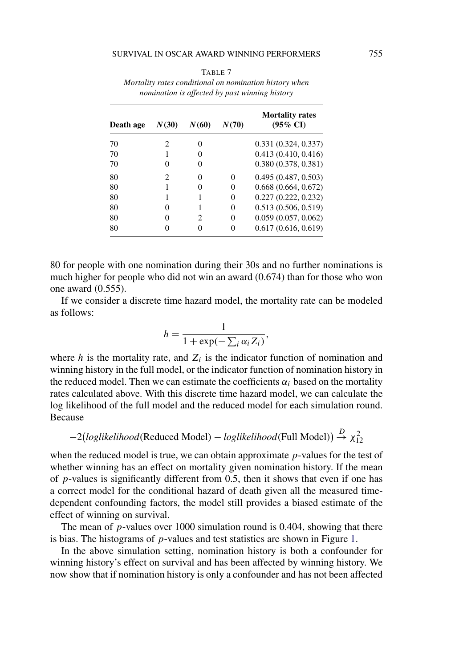| Death age | N(30) | N(60)                       | N(70)    | <b>Mortality rates</b><br>$(95\% \text{ CI})$ |
|-----------|-------|-----------------------------|----------|-----------------------------------------------|
| 70        | 2     | 0                           |          | 0.331(0.324, 0.337)                           |
| 70        |       | 0                           |          | 0.413(0.410, 0.416)                           |
| 70        | 0     | 0                           |          | 0.380(0.378, 0.381)                           |
| 80        | 2     | 0                           | 0        | 0.495(0.487, 0.503)                           |
| 80        | 1     | $\theta$                    | 0        | 0.668(0.664, 0.672)                           |
| 80        |       | 1                           | 0        | 0.227(0.222, 0.232)                           |
| 80        | 0     |                             | $\Omega$ | 0.513(0.506, 0.519)                           |
| 80        | 0     | $\mathcal{D}_{\mathcal{L}}$ | $\Omega$ | 0.059(0.057, 0.062)                           |
| 80        |       |                             | 0        | 0.617(0.616, 0.619)                           |

<span id="page-9-0"></span>TABLE 7 *Mortality rates conditional on nomination history when nomination is affected by past winning history*

80 for people with one nomination during their 30s and no further nominations is much higher for people who did not win an award (0.674) than for those who won one award (0.555).

If we consider a discrete time hazard model, the mortality rate can be modeled as follows:

$$
h = \frac{1}{1 + \exp(-\sum_i \alpha_i Z_i)},
$$

where  $h$  is the mortality rate, and  $Z_i$  is the indicator function of nomination and winning history in the full model, or the indicator function of nomination history in the reduced model. Then we can estimate the coefficients  $\alpha_i$  based on the mortality rates calculated above. With this discrete time hazard model, we can calculate the log likelihood of the full model and the reduced model for each simulation round. Because

$$
-2(loglikelihood(\text{Reduced Model}) - loglikelihood(\text{Full Model})) \overset{D}{\rightarrow} \chi_{12}^2
$$

when the reduced model is true, we can obtain approximate *p*-values for the test of whether winning has an effect on mortality given nomination history. If the mean of *p*-values is significantly different from 0.5, then it shows that even if one has a correct model for the conditional hazard of death given all the measured timedependent confounding factors, the model still provides a biased estimate of the effect of winning on survival.

The mean of *p*-values over 1000 simulation round is 0.404, showing that there is bias. The histograms of *p*-values and test statistics are shown in Figure [1.](#page-10-0)

In the above simulation setting, nomination history is both a confounder for winning history's effect on survival and has been affected by winning history. We now show that if nomination history is only a confounder and has not been affected

*<sup>D</sup>*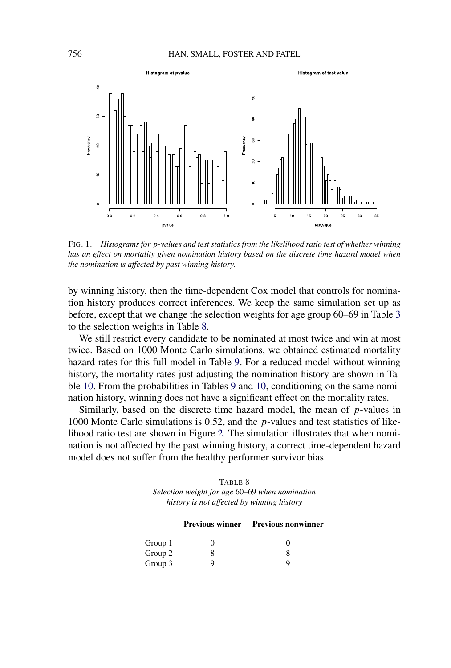<span id="page-10-0"></span>

FIG. 1. *Histograms for p-values and test statistics from the likelihood ratio test of whether winning has an effect on mortality given nomination history based on the discrete time hazard model when the nomination is affected by past winning history*.

by winning history, then the time-dependent Cox model that controls for nomination history produces correct inferences. We keep the same simulation set up as before, except that we change the selection weights for age group 60–69 in Table [3](#page-6-0) to the selection weights in Table 8.

We still restrict every candidate to be nominated at most twice and win at most twice. Based on 1000 Monte Carlo simulations, we obtained estimated mortality hazard rates for this full model in Table [9.](#page-11-0) For a reduced model without winning history, the mortality rates just adjusting the nomination history are shown in Table [10.](#page-11-0) From the probabilities in Tables [9](#page-11-0) and [10,](#page-11-0) conditioning on the same nomination history, winning does not have a significant effect on the mortality rates.

Similarly, based on the discrete time hazard model, the mean of *p*-values in 1000 Monte Carlo simulations is 0.52, and the *p*-values and test statistics of likelihood ratio test are shown in Figure [2.](#page-12-0) The simulation illustrates that when nomination is not affected by the past winning history, a correct time-dependent hazard model does not suffer from the healthy performer survivor bias.

TABLE 8 *Selection weight for age* 60*–*69 *when nomination history is not affected by winning history*

|         | <b>Previous winner</b> Previous nonwinner |
|---------|-------------------------------------------|
| Group 1 |                                           |
| Group 2 |                                           |
| Group 3 |                                           |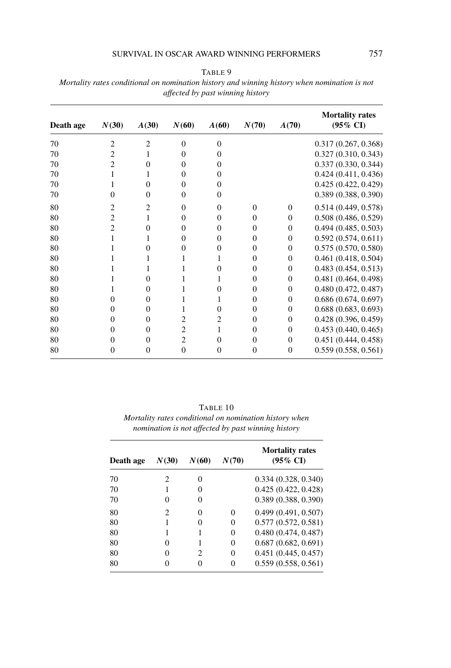### SURVIVAL IN OSCAR AWARD WINNING PERFORMERS 757

TABLE 9

<span id="page-11-0"></span>*Mortality rates conditional on nomination history and winning history when nomination is not affected by past winning history*

| Death age | N(30)          | A(30)          | N(60)          | A(60)    | N(70)          | A(70)            | <b>Mortality rates</b><br>$(95\% \text{ CI})$ |
|-----------|----------------|----------------|----------------|----------|----------------|------------------|-----------------------------------------------|
| 70        | 2              | $\overline{c}$ | $\Omega$       | 0        |                |                  | 0.317(0.267, 0.368)                           |
| 70        | 2              | 1              | $\Omega$       | 0        |                |                  | 0.327(0.310, 0.343)                           |
| 70        | 2              | $\theta$       | $\mathbf{0}$   | 0        |                |                  | 0.337(0.330, 0.344)                           |
| 70        |                | 1              | $\Omega$       | 0        |                |                  | 0.424(0.411, 0.436)                           |
| 70        |                | $\theta$       | $\Omega$       | 0        |                |                  | 0.425(0.422, 0.429)                           |
| 70        | 0              | $\theta$       | $\Omega$       | 0        |                |                  | 0.389(0.388, 0.390)                           |
| 80        | 2              | 2              | $\Omega$       | 0        | $\Omega$       | $\Omega$         | 0.514(0.449, 0.578)                           |
| 80        | 2              |                | $\Omega$       | $\Omega$ | 0              | $\mathbf{0}$     | 0.508(0.486, 0.529)                           |
| 80        | $\overline{2}$ | 0              | $\Omega$       | $\Omega$ | 0              | $\mathbf{0}$     | 0.494(0.485, 0.503)                           |
| 80        |                |                | $\Omega$       | $\Omega$ | 0              | $\boldsymbol{0}$ | 0.592(0.574, 0.611)                           |
| 80        |                | 0              | 0              | 0        | $\overline{0}$ | $\mathbf{0}$     | 0.575(0.570, 0.580)                           |
| 80        |                |                |                |          | $\overline{0}$ | $\mathbf{0}$     | 0.461(0.418, 0.504)                           |
| 80        |                |                |                | 0        | $\Omega$       | $\mathbf{0}$     | 0.483(0.454, 0.513)                           |
| 80        |                | $\overline{0}$ |                |          | 0              | $\mathbf{0}$     | 0.481 (0.464, 0.498)                          |
| 80        |                | $\Omega$       |                | 0        | $\Omega$       | $\mathbf{0}$     | 0.480(0.472, 0.487)                           |
| 80        | $\Omega$       | $\overline{0}$ |                | 1        | $\overline{0}$ | $\mathbf{0}$     | 0.686(0.674, 0.697)                           |
| 80        | $\Omega$       | $\theta$       |                | $\Omega$ | $\overline{0}$ | $\mathbf{0}$     | 0.688(0.683, 0.693)                           |
| 80        | $\Omega$       | $\overline{0}$ | 2              | 2        | 0              | $\boldsymbol{0}$ | 0.428(0.396, 0.459)                           |
| 80        | $\Omega$       | $\theta$       | 2              | 1        | $\Omega$       | $\mathbf{0}$     | 0.453(0.440, 0.465)                           |
| 80        | $\Omega$       | $\Omega$       | 2              | $\Omega$ | 0              | $\boldsymbol{0}$ | 0.451(0.444, 0.458)                           |
| 80        | $\theta$       | 0              | $\overline{0}$ | 0        | 0              | $\overline{0}$   | 0.559(0.558, 0.561)                           |

TABLE 10 *Mortality rates conditional on nomination history when nomination is not affected by past winning history*

| Death age | N(30)                       | N(60) | N(70) | <b>Mortality rates</b><br>$(95\% \text{ CI})$ |
|-----------|-----------------------------|-------|-------|-----------------------------------------------|
| 70        | 2                           |       |       | 0.334(0.328, 0.340)                           |
| 70        |                             |       |       | 0.425(0.422, 0.428)                           |
| 70        | 0                           |       |       | 0.389(0.388, 0.390)                           |
| 80        | $\mathcal{D}_{\mathcal{L}}$ | 0     |       | 0.499(0.491, 0.507)                           |
| 80        | 1                           |       | 0     | 0.577(0.572, 0.581)                           |
| 80        |                             |       | 0     | 0.480(0.474, 0.487)                           |
| 80        | 0                           |       | 0     | 0.687(0.682, 0.691)                           |
| 80        | 0                           | 2     | 0     | 0.451(0.445, 0.457)                           |
| 80        | 0                           |       |       | 0.559(0.558, 0.561)                           |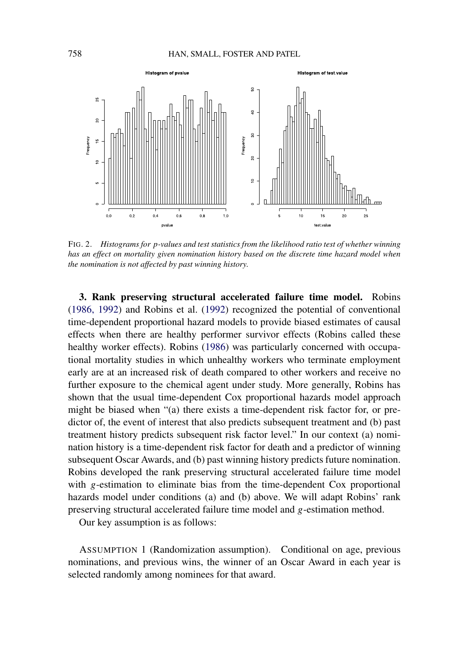<span id="page-12-0"></span>

FIG. 2. *Histograms for p-values and test statistics from the likelihood ratio test of whether winning has an effect on mortality given nomination history based on the discrete time hazard model when the nomination is not affected by past winning history*.

**3. Rank preserving structural accelerated failure time model.** Robins [\(1986, 1992\)](#page-25-0) and Robins et al. [\(1992\)](#page-25-0) recognized the potential of conventional time-dependent proportional hazard models to provide biased estimates of causal effects when there are healthy performer survivor effects (Robins called these healthy worker effects). Robins [\(1986\)](#page-25-0) was particularly concerned with occupational mortality studies in which unhealthy workers who terminate employment early are at an increased risk of death compared to other workers and receive no further exposure to the chemical agent under study. More generally, Robins has shown that the usual time-dependent Cox proportional hazards model approach might be biased when "(a) there exists a time-dependent risk factor for, or predictor of, the event of interest that also predicts subsequent treatment and (b) past treatment history predicts subsequent risk factor level." In our context (a) nomination history is a time-dependent risk factor for death and a predictor of winning subsequent Oscar Awards, and (b) past winning history predicts future nomination. Robins developed the rank preserving structural accelerated failure time model with *g*-estimation to eliminate bias from the time-dependent Cox proportional hazards model under conditions (a) and (b) above. We will adapt Robins' rank preserving structural accelerated failure time model and *g*-estimation method.

Our key assumption is as follows:

ASSUMPTION 1 (Randomization assumption). Conditional on age, previous nominations, and previous wins, the winner of an Oscar Award in each year is selected randomly among nominees for that award.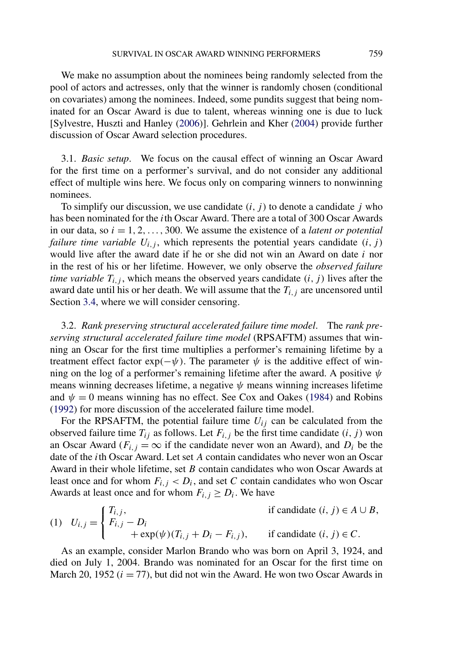<span id="page-13-0"></span>We make no assumption about the nominees being randomly selected from the pool of actors and actresses, only that the winner is randomly chosen (conditional on covariates) among the nominees. Indeed, some pundits suggest that being nominated for an Oscar Award is due to talent, whereas winning one is due to luck [Sylvestre, Huszti and Hanley [\(2006\)](#page-26-0)]. Gehrlein and Kher [\(2004\)](#page-24-0) provide further discussion of Oscar Award selection procedures.

3.1. *Basic setup*. We focus on the causal effect of winning an Oscar Award for the first time on a performer's survival, and do not consider any additional effect of multiple wins here. We focus only on comparing winners to nonwinning nominees.

To simplify our discussion, we use candidate  $(i, j)$  to denote a candidate  $j$  who has been nominated for the *i*th Oscar Award. There are a total of 300 Oscar Awards in our data, so  $i = 1, 2, \ldots, 300$ . We assume the existence of a *latent or potential failure time variable*  $U_{i,j}$ , which represents the potential years candidate  $(i, j)$ would live after the award date if he or she did not win an Award on date *i* nor in the rest of his or her lifetime. However, we only observe the *observed failure time variable*  $T_{i,j}$ , which means the observed years candidate  $(i, j)$  lives after the award date until his or her death. We will assume that the  $T_{i,j}$  are uncensored until Section [3.4,](#page-16-0) where we will consider censoring.

3.2. *Rank preserving structural accelerated failure time model*. The *rank preserving structural accelerated failure time model* (RPSAFTM) assumes that winning an Oscar for the first time multiplies a performer's remaining lifetime by a treatment effect factor  $exp(-\psi)$ . The parameter  $\psi$  is the additive effect of winning on the log of a performer's remaining lifetime after the award. A positive *ψ* means winning decreases lifetime, a negative  $\psi$  means winning increases lifetime and  $\psi = 0$  means winning has no effect. See Cox and Oakes [\(1984\)](#page-24-0) and Robins [\(1992\)](#page-25-0) for more discussion of the accelerated failure time model.

For the RPSAFTM, the potential failure time  $U_{ij}$  can be calculated from the observed failure time  $T_{ij}$  as follows. Let  $F_{i,j}$  be the first time candidate  $(i, j)$  won an Oscar Award ( $F_{i,j} = \infty$  if the candidate never won an Award), and  $D_i$  be the date of the *i*th Oscar Award. Let set *A* contain candidates who never won an Oscar Award in their whole lifetime, set *B* contain candidates who won Oscar Awards at least once and for whom  $F_{i,j} < D_i$ , and set *C* contain candidates who won Oscar Awards at least once and for whom  $F_{i,j} \ge D_i$ . We have

(1) 
$$
U_{i,j} = \begin{cases} T_{i,j}, & \text{if candidate } (i, j) \in A \cup B, \\ F_{i,j} - D_i & + \exp(\psi)(T_{i,j} + D_i - F_{i,j}), \\ \end{cases}
$$
if candidate  $(i, j) \in C$ .

As an example, consider Marlon Brando who was born on April 3, 1924, and died on July 1, 2004. Brando was nominated for an Oscar for the first time on March 20, 1952  $(i = 77)$ , but did not win the Award. He won two Oscar Awards in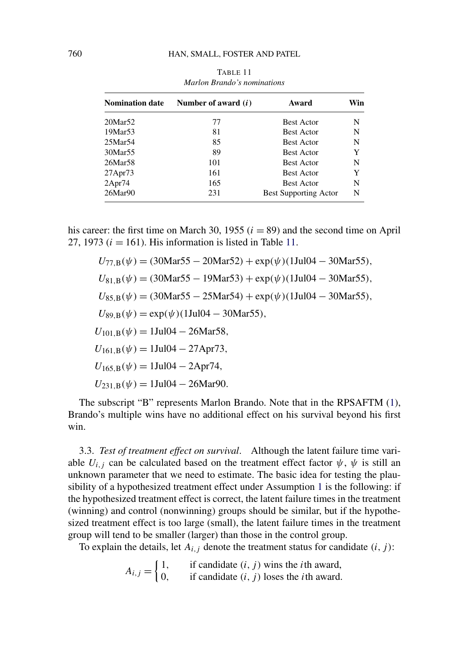| <b>Nomination date</b> | Number of award $(i)$ | Award                        | Win |
|------------------------|-----------------------|------------------------------|-----|
| $20$ Mar52             | 77                    | <b>Best Actor</b>            | N   |
| 19Mar53                | 81                    | <b>Best Actor</b>            | N   |
| $25$ Mar54             | 85                    | <b>Best Actor</b>            | N   |
| 30Mar55                | 89                    | <b>Best Actor</b>            | Y   |
| 26Mar58                | 101                   | <b>Best Actor</b>            | N   |
| $27$ Apr $73$          | 161                   | <b>Best Actor</b>            | Y   |
| 2Apr74                 | 165                   | <b>Best Actor</b>            | N   |
| $26$ Mar $90$          | 231                   | <b>Best Supporting Actor</b> | N   |

TABLE 11 *Marlon Brando's nominations*

his career: the first time on March 30, 1955  $(i = 89)$  and the second time on April 27, 1973  $(i = 161)$ . His information is listed in Table 11.

$$
U_{77,B}(\psi) = (30\text{Mar55} - 20\text{Mar52}) + \exp(\psi)(1\text{Jul04} - 30\text{Mar55}),
$$
  
\n
$$
U_{81,B}(\psi) = (30\text{Mar55} - 19\text{Mar53}) + \exp(\psi)(1\text{Jul04} - 30\text{Mar55}),
$$
  
\n
$$
U_{85,B}(\psi) = (30\text{Mar55} - 25\text{Mar54}) + \exp(\psi)(1\text{Jul04} - 30\text{Mar55}),
$$
  
\n
$$
U_{89,B}(\psi) = \exp(\psi)(1\text{Jul04} - 30\text{Mar55}),
$$
  
\n
$$
U_{101,B}(\psi) = 1\text{Jul04} - 26\text{Mar58},
$$
  
\n
$$
U_{161,B}(\psi) = 1\text{Jul04} - 27\text{Apr73},
$$
  
\n
$$
U_{165,B}(\psi) = 1\text{Jul04} - 2\text{Apr74},
$$
  
\n
$$
U_{231,B}(\psi) = 1\text{Jul04} - 26\text{Mar90}.
$$

The subscript "B" represents Marlon Brando. Note that in the RPSAFTM [\(1\)](#page-13-0), Brando's multiple wins have no additional effect on his survival beyond his first win.

3.3. *Test of treatment effect on survival*. Although the latent failure time variable  $U_{i,j}$  can be calculated based on the treatment effect factor  $\psi$ ,  $\psi$  is still an unknown parameter that we need to estimate. The basic idea for testing the plausibility of a hypothesized treatment effect under Assumption [1](#page-12-0) is the following: if the hypothesized treatment effect is correct, the latent failure times in the treatment (winning) and control (nonwinning) groups should be similar, but if the hypothesized treatment effect is too large (small), the latent failure times in the treatment group will tend to be smaller (larger) than those in the control group.

To explain the details, let  $A_{i,j}$  denote the treatment status for candidate  $(i, j)$ :

$$
A_{i,j} = \begin{cases} 1, & \text{if candidate } (i,j) \text{ wins the } i \text{th award,} \\ 0, & \text{if candidate } (i,j) \text{ loses the } i \text{th award.} \end{cases}
$$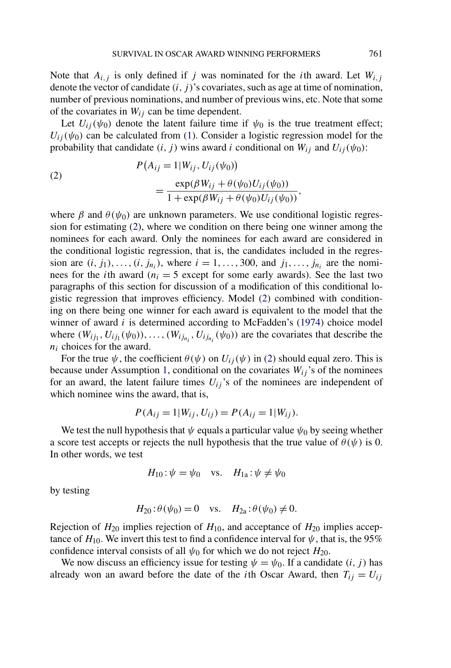<span id="page-15-0"></span>Note that  $A_{i,j}$  is only defined if *j* was nominated for the *i*th award. Let  $W_{i,j}$ denote the vector of candidate *(i, j )*'s covariates, such as age at time of nomination, number of previous nominations, and number of previous wins, etc. Note that some of the covariates in  $W_{ij}$  can be time dependent.

Let  $U_{ij}(\psi_0)$  denote the latent failure time if  $\psi_0$  is the true treatment effect;  $U_{ij}(\psi_0)$  can be calculated from [\(1\)](#page-13-0). Consider a logistic regression model for the probability that candidate  $(i, j)$  wins award *i* conditional on  $W_{ij}$  and  $U_{ij}(\psi_0)$ :

(2)  

$$
P(A_{ij} = 1|W_{ij}, U_{ij}(\psi_0))
$$

$$
= \frac{\exp(\beta W_{ij} + \theta(\psi_0)U_{ij}(\psi_0))}{1 + \exp(\beta W_{ij} + \theta(\psi_0)U_{ij}(\psi_0))},
$$

where  $\beta$  and  $\theta(\psi_0)$  are unknown parameters. We use conditional logistic regression for estimating (2), where we condition on there being one winner among the nominees for each award. Only the nominees for each award are considered in the conditional logistic regression, that is, the candidates included in the regression are  $(i, j_1), \ldots, (i, j_{n_i})$ , where  $i = 1, \ldots, 300$ , and  $j_1, \ldots, j_{n_i}$  are the nominees for the *i*th award ( $n_i = 5$  except for some early awards). See the last two paragraphs of this section for discussion of a modification of this conditional logistic regression that improves efficiency. Model (2) combined with conditioning on there being one winner for each award is equivalent to the model that the winner of award *i* is determined according to McFadden's [\(1974\)](#page-25-0) choice model where  $(W_{ij_1}, U_{ij_1}(\psi_0)), \ldots, (W_{ij_{n_i}}, U_{ij_{n_i}}(\psi_0))$  are the covariates that describe the *ni* choices for the award.

For the true  $\psi$ , the coefficient  $\theta(\psi)$  on  $U_{ij}(\psi)$  in (2) should equal zero. This is because under Assumption [1,](#page-12-0) conditional on the covariates  $W_{ij}$ 's of the nominees for an award, the latent failure times  $U_{ij}$ 's of the nominees are independent of which nominee wins the award, that is,

$$
P(A_{ij} = 1 | W_{ij}, U_{ij}) = P(A_{ij} = 1 | W_{ij}).
$$

We test the null hypothesis that  $\psi$  equals a particular value  $\psi_0$  by seeing whether a score test accepts or rejects the null hypothesis that the true value of  $\theta(\psi)$  is 0. In other words, we test

$$
H_{10} : \psi = \psi_0 \quad \text{vs.} \quad H_{1a} : \psi \neq \psi_0
$$

by testing

$$
H_{20} : \theta(\psi_0) = 0 \quad \text{vs.} \quad H_{2a} : \theta(\psi_0) \neq 0.
$$

Rejection of  $H_{20}$  implies rejection of  $H_{10}$ , and acceptance of  $H_{20}$  implies acceptance of  $H_{10}$ . We invert this test to find a confidence interval for  $\psi$ , that is, the 95% confidence interval consists of all  $\psi_0$  for which we do not reject  $H_{20}$ .

We now discuss an efficiency issue for testing  $\psi = \psi_0$ . If a candidate  $(i, j)$  has already won an award before the date of the *i*th Oscar Award, then  $T_{ij} = U_{ij}$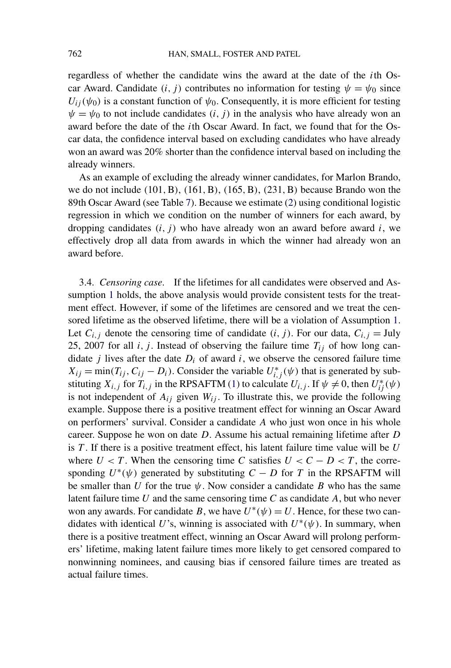<span id="page-16-0"></span>regardless of whether the candidate wins the award at the date of the *i*th Oscar Award. Candidate  $(i, j)$  contributes no information for testing  $\psi = \psi_0$  since  $U_{ij}(\psi_0)$  is a constant function of  $\psi_0$ . Consequently, it is more efficient for testing  $\psi = \psi_0$  to not include candidates  $(i, j)$  in the analysis who have already won an award before the date of the *i*th Oscar Award. In fact, we found that for the Oscar data, the confidence interval based on excluding candidates who have already won an award was 20% shorter than the confidence interval based on including the already winners.

As an example of excluding the already winner candidates, for Marlon Brando, we do not include *(*101*,*B*)*, *(*161*,*B*)*, *(*165*,*B*)*, *(*231*,*B*)* because Brando won the 89th Oscar Award (see Table [7\)](#page-9-0). Because we estimate [\(2\)](#page-15-0) using conditional logistic regression in which we condition on the number of winners for each award, by dropping candidates  $(i, j)$  who have already won an award before award  $i$ , we effectively drop all data from awards in which the winner had already won an award before.

3.4. *Censoring case*. If the lifetimes for all candidates were observed and Assumption [1](#page-12-0) holds, the above analysis would provide consistent tests for the treatment effect. However, if some of the lifetimes are censored and we treat the censored lifetime as the observed lifetime, there will be a violation of Assumption [1.](#page-12-0) Let  $C_{i,j}$  denote the censoring time of candidate  $(i, j)$ . For our data,  $C_{i,j} =$  July 25, 2007 for all *i*, *j*. Instead of observing the failure time  $T_{ij}$  of how long candidate *j* lives after the date  $D_i$  of award *i*, we observe the censored failure time  $X_{ij} = \min(T_{ij}, C_{ij} - D_i)$ . Consider the variable  $U_{i,j}^*(\psi)$  that is generated by substituting  $X_{i,j}$  for  $T_{i,j}$  in the RPSAFTM [\(1\)](#page-13-0) to calculate  $U_{i,j}$ . If  $\psi \neq 0$ , then  $U_{ij}^*(\psi)$ is not independent of  $A_{ij}$  given  $W_{ij}$ . To illustrate this, we provide the following example. Suppose there is a positive treatment effect for winning an Oscar Award on performers' survival. Consider a candidate *A* who just won once in his whole career. Suppose he won on date *D*. Assume his actual remaining lifetime after *D* is *T* . If there is a positive treatment effect, his latent failure time value will be *U* where  $U < T$ . When the censoring time C satisfies  $U < C - D < T$ , the corresponding  $U^*(\psi)$  generated by substituting  $C - D$  for *T* in the RPSAFTM will be smaller than *U* for the true  $\psi$ . Now consider a candidate *B* who has the same latent failure time *U* and the same censoring time *C* as candidate *A*, but who never won any awards. For candidate *B*, we have  $U^*(\psi) = U$ . Hence, for these two candidates with identical *U*'s, winning is associated with  $U^*(\psi)$ . In summary, when there is a positive treatment effect, winning an Oscar Award will prolong performers' lifetime, making latent failure times more likely to get censored compared to nonwinning nominees, and causing bias if censored failure times are treated as actual failure times.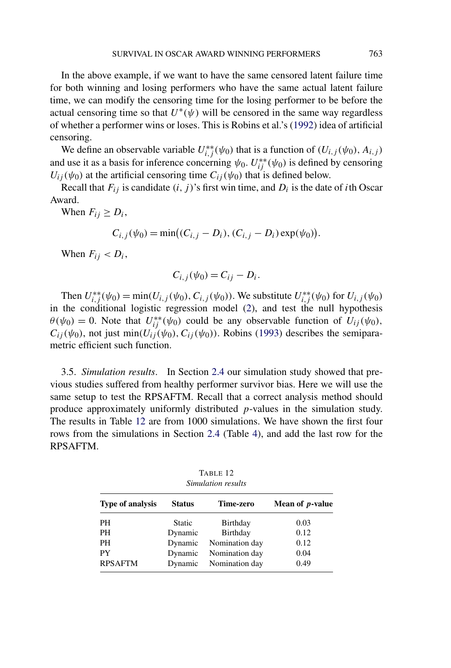<span id="page-17-0"></span>In the above example, if we want to have the same censored latent failure time for both winning and losing performers who have the same actual latent failure time, we can modify the censoring time for the losing performer to be before the actual censoring time so that  $U^*(\psi)$  will be censored in the same way regardless of whether a performer wins or loses. This is Robins et al.'s [\(1992\)](#page-25-0) idea of artificial censoring.

We define an observable variable  $U_{i,j}^{**}(\psi_0)$  that is a function of  $(U_{i,j}(\psi_0), A_{i,j})$ and use it as a basis for inference concerning  $\psi_0$ .  $U_{ij}^{**}(\psi_0)$  is defined by censoring  $U_{ij}(\psi_0)$  at the artificial censoring time  $C_{ij}(\psi_0)$  that is defined below.

Recall that  $F_{ij}$  is candidate  $(i, j)$ 's first win time, and  $D_i$  is the date of *i*th Oscar Award.

When  $F_{ij} \geq D_i$ ,

$$
C_{i,j}(\psi_0) = \min((C_{i,j} - D_i), (C_{i,j} - D_i) \exp(\psi_0)).
$$

When  $F_{ij}$  <  $D_i$ ,

$$
C_{i,j}(\psi_0)=C_{ij}-D_i.
$$

Then  $U_{i,j}^{**}(\psi_0) = \min(U_{i,j}(\psi_0), C_{i,j}(\psi_0))$ . We substitute  $U_{i,j}^{**}(\psi_0)$  for  $U_{i,j}(\psi_0)$ in the conditional logistic regression model [\(2\)](#page-15-0), and test the null hypothesis  $\theta(\psi_0) = 0$ . Note that  $U_{ij}^{**}(\psi_0)$  could be any observable function of  $U_{ij}(\psi_0)$ ,  $C_{ij}(\psi_0)$ , not just min $(U_{ij}(\psi_0), C_{ij}(\psi_0))$ . Robins [\(1993\)](#page-25-0) describes the semiparametric efficient such function.

3.5. *Simulation results*. In Section [2.4](#page-5-0) our simulation study showed that previous studies suffered from healthy performer survivor bias. Here we will use the same setup to test the RPSAFTM. Recall that a correct analysis method should produce approximately uniformly distributed *p*-values in the simulation study. The results in Table 12 are from 1000 simulations. We have shown the first four rows from the simulations in Section [2.4](#page-5-0) (Table [4\)](#page-7-0), and add the last row for the RPSAFTM.

| Simulation results      |               |                |                         |  |
|-------------------------|---------------|----------------|-------------------------|--|
| <b>Type of analysis</b> | <b>Status</b> | Time-zero      | Mean of <i>p</i> -value |  |
| PH                      | <b>Static</b> | Birthday       | 0.03                    |  |
| <b>PH</b>               | Dynamic       | Birthday       | 0.12                    |  |
| <b>PH</b>               | Dynamic       | Nomination day | 0.12                    |  |
| <b>PY</b>               | Dynamic       | Nomination day | 0.04                    |  |
| <b>RPSAFTM</b>          | Dynamic       | Nomination day | 0.49                    |  |

TABLE 12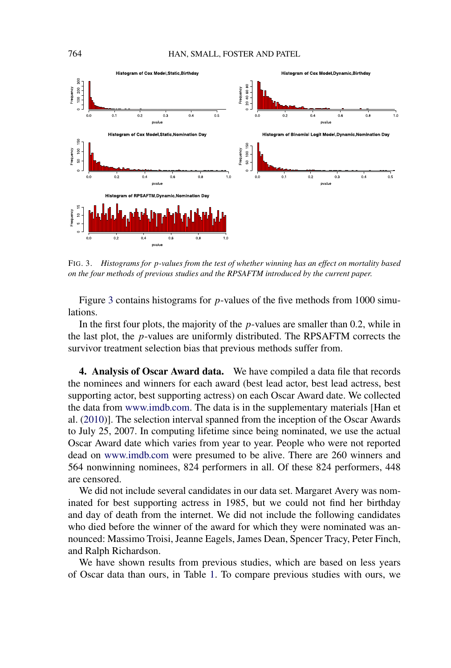<span id="page-18-0"></span>

FIG. 3. *Histograms for p-values from the test of whether winning has an effect on mortality based on the four methods of previous studies and the RPSAFTM introduced by the current paper*.

Figure 3 contains histograms for *p*-values of the five methods from 1000 simulations.

In the first four plots, the majority of the *p*-values are smaller than 0.2, while in the last plot, the *p*-values are uniformly distributed. The RPSAFTM corrects the survivor treatment selection bias that previous methods suffer from.

**4. Analysis of Oscar Award data.** We have compiled a data file that records the nominees and winners for each award (best lead actor, best lead actress, best supporting actor, best supporting actress) on each Oscar Award date. We collected the data from [www.imdb.com](http://www.imdb.com). The data is in the supplementary materials [Han et al. [\(2010\)](#page-25-0)]. The selection interval spanned from the inception of the Oscar Awards to July 25, 2007. In computing lifetime since being nominated, we use the actual Oscar Award date which varies from year to year. People who were not reported dead on [www.imdb.com](http://www.imdb.com) were presumed to be alive. There are 260 winners and 564 nonwinning nominees, 824 performers in all. Of these 824 performers, 448 are censored.

We did not include several candidates in our data set. Margaret Avery was nominated for best supporting actress in 1985, but we could not find her birthday and day of death from the internet. We did not include the following candidates who died before the winner of the award for which they were nominated was announced: Massimo Troisi, Jeanne Eagels, James Dean, Spencer Tracy, Peter Finch, and Ralph Richardson.

We have shown results from previous studies, which are based on less years of Oscar data than ours, in Table [1.](#page-4-0) To compare previous studies with ours, we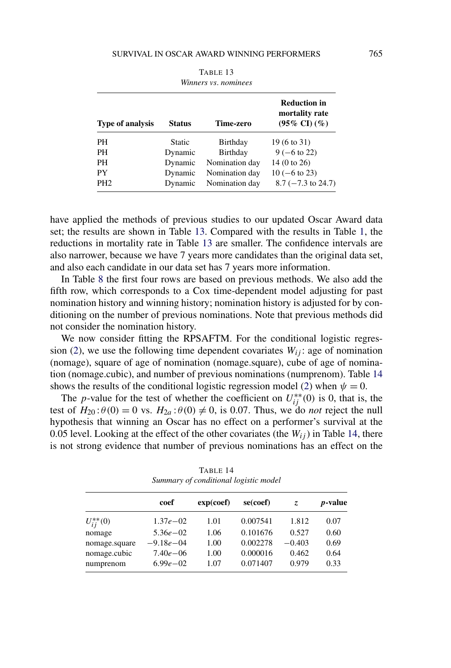<span id="page-19-0"></span>

| <i>winners vs. nominees</i> |               |                |                                                                   |
|-----------------------------|---------------|----------------|-------------------------------------------------------------------|
| <b>Type of analysis</b>     | <b>Status</b> | Time-zero      | <b>Reduction in</b><br>mortality rate<br>$(95\% \text{ CI}) (\%)$ |
| <b>PH</b>                   | Static        | Birthday       | 19 (6 to 31)                                                      |
| <b>PH</b>                   | Dynamic       | Birthday       | $9(-6 \text{ to } 22)$                                            |
| <b>PH</b>                   | Dynamic       | Nomination day | 14 (0 to 26)                                                      |
| <b>PY</b>                   | Dynamic       | Nomination day | $10(-6 \text{ to } 23)$                                           |
| PH <sub>2</sub>             | Dynamic       | Nomination day | $8.7 (-7.3 \text{ to } 24.7)$                                     |

TABLE 13 *Winners vs*. *nominees*

have applied the methods of previous studies to our updated Oscar Award data set; the results are shown in Table 13. Compared with the results in Table [1,](#page-4-0) the reductions in mortality rate in Table 13 are smaller. The confidence intervals are also narrower, because we have 7 years more candidates than the original data set, and also each candidate in our data set has 7 years more information.

In Table [8](#page-10-0) the first four rows are based on previous methods. We also add the fifth row, which corresponds to a Cox time-dependent model adjusting for past nomination history and winning history; nomination history is adjusted for by conditioning on the number of previous nominations. Note that previous methods did not consider the nomination history.

We now consider fitting the RPSAFTM. For the conditional logistic regres-sion [\(2\)](#page-15-0), we use the following time dependent covariates  $W_{ij}$ : age of nomination (nomage), square of age of nomination (nomage.square), cube of age of nomination (nomage.cubic), and number of previous nominations (numprenom). Table 14 shows the results of the conditional logistic regression model [\(2\)](#page-15-0) when  $\psi = 0$ .

The *p*-value for the test of whether the coefficient on  $U_{ij}^{**}(0)$  is 0, that is, the test of  $H_{20}$ :  $\theta(0) = 0$  vs.  $H_{2a}$ :  $\theta(0) \neq 0$ , is 0.07. Thus, we do *not* reject the null hypothesis that winning an Oscar has no effect on a performer's survival at the 0.05 level. Looking at the effect of the other covariates (the  $W_{ij}$ ) in Table 14, there is not strong evidence that number of previous nominations has an effect on the

|                  | coef          | exp(coef) | se(coef) | z.       | <i>p</i> -value |
|------------------|---------------|-----------|----------|----------|-----------------|
| $U_{ii}^{**}(0)$ | $1.37e - 02$  | 1.01      | 0.007541 | 1.812    | 0.07            |
| nomage           | $5.36e - 02$  | 1.06      | 0.101676 | 0.527    | 0.60            |
| nomage.square    | $-9.18e - 04$ | 1.00      | 0.002278 | $-0.403$ | 0.69            |
| nomage.cubic     | $7.40e - 06$  | 1.00      | 0.000016 | 0.462    | 0.64            |
| numprenom        | $6.99e - 02$  | 1.07      | 0.071407 | 0.979    | 0.33            |

TABLE 14 *Summary of conditional logistic model*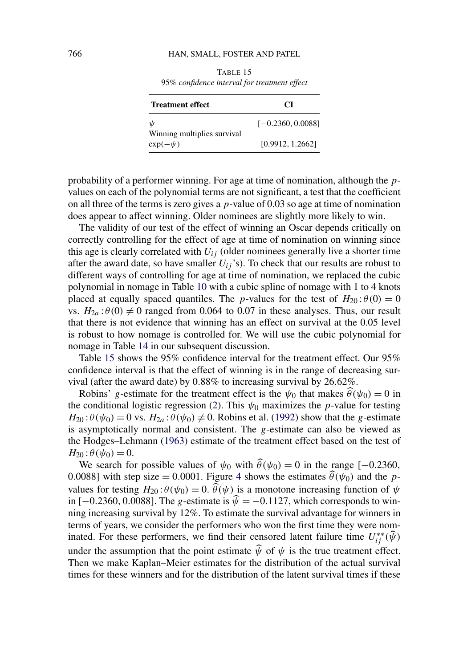| <b>Treatment effect</b>                     | CI                  |
|---------------------------------------------|---------------------|
| $\psi$                                      | $[-0.2360, 0.0088]$ |
| Winning multiplies survival<br>$exp(-\psi)$ | [0.9912, 1.2662]    |

TABLE 15 95% *confidence interval for treatment effect*

probability of a performer winning. For age at time of nomination, although the *p*values on each of the polynomial terms are not significant, a test that the coefficient on all three of the terms is zero gives a *p*-value of 0.03 so age at time of nomination does appear to affect winning. Older nominees are slightly more likely to win.

The validity of our test of the effect of winning an Oscar depends critically on correctly controlling for the effect of age at time of nomination on winning since this age is clearly correlated with  $U_{ij}$  (older nominees generally live a shorter time after the award date, so have smaller  $U_{ij}$ 's). To check that our results are robust to different ways of controlling for age at time of nomination, we replaced the cubic polynomial in nomage in Table [10](#page-11-0) with a cubic spline of nomage with 1 to 4 knots placed at equally spaced quantiles. The *p*-values for the test of  $H_{20}$ :  $\theta(0) = 0$ vs.  $H_{2a}$ : $\theta(0) \neq 0$  ranged from 0.064 to 0.07 in these analyses. Thus, our result that there is not evidence that winning has an effect on survival at the 0.05 level is robust to how nomage is controlled for. We will use the cubic polynomial for nomage in Table [14](#page-19-0) in our subsequent discussion.

Table 15 shows the 95% confidence interval for the treatment effect. Our 95% confidence interval is that the effect of winning is in the range of decreasing survival (after the award date) by 0*.*88% to increasing survival by 26*.*62%.

Robins' *g*-estimate for the treatment effect is the  $\psi_0$  that makes  $\theta(\psi_0) = 0$  in the conditional logistic regression [\(2\)](#page-15-0). This  $\psi_0$  maximizes the *p*-value for testing  $H_{20}$ :  $\theta(\psi_0) = 0$  vs.  $H_{2a}$ :  $\theta(\psi_0) \neq 0$ . Robins et al. [\(1992\)](#page-25-0) show that the *g*-estimate is asymptotically normal and consistent. The *g*-estimate can also be viewed as the Hodges–Lehmann [\(1963\)](#page-25-0) estimate of the treatment effect based on the test of  $H_{20}$ :  $\theta(\psi_0) = 0$ .

We search for possible values of  $\psi_0$  with  $\hat{\theta}(\psi_0) = 0$  in the range [-0.2360, 0.0088] with step size = 0.0001. Figure [4](#page-21-0) shows the estimates  $\hat{\theta}(\psi_0)$  and the *p*values for testing  $H_{20}$ :  $\theta(\psi_0) = 0$ .  $\hat{\theta}(\psi)$  is a monotone increasing function of  $\psi$ in [ $-0.2360, 0.0088$ ]. The *g*-estimate is  $\psi = -0.1127$ , which corresponds to winning increasing survival by 12%. To estimate the survival advantage for winners in terms of years, we consider the performers who won the first time they were nominated. For these performers, we find their censored latent failure time  $U_{ij}^{**}(\psi)$ under the assumption that the point estimate  $\psi$  of  $\psi$  is the true treatment effect. Then we make Kaplan–Meier estimates for the distribution of the actual survival times for these winners and for the distribution of the latent survival times if these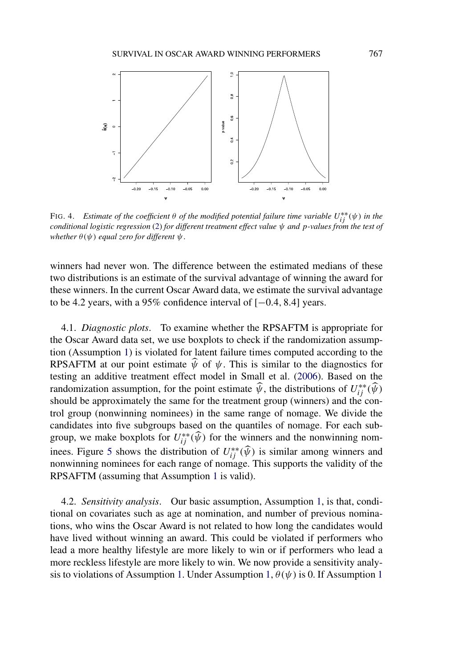<span id="page-21-0"></span>

FIG. 4. Estimate of the coefficient  $\theta$  of the modified potential failure time variable  $U_{ij}^{**}(\psi)$  in the *conditional logistic regression* [\(2\)](#page-15-0) *for different treatment effect value ψ and p-values from the test of whether*  $\theta(\psi)$  *equal zero for different*  $\psi$ .

winners had never won. The difference between the estimated medians of these two distributions is an estimate of the survival advantage of winning the award for these winners. In the current Oscar Award data, we estimate the survival advantage to be 4.2 years, with a 95% confidence interval of [−0*.*4*,* 8*.*4] years.

4.1. *Diagnostic plots*. To examine whether the RPSAFTM is appropriate for the Oscar Award data set, we use boxplots to check if the randomization assumption (Assumption [1\)](#page-12-0) is violated for latent failure times computed according to the RPSAFTM at our point estimate  $\psi$  of  $\psi$ . This is similar to the diagnostics for testing an additive treatment effect model in Small et al. [\(2006\)](#page-25-0). Based on the randomization assumption, for the point estimate  $\psi$ , the distributions of  $U_{ij}^{**}(\psi)$ should be approximately the same for the treatment group (winners) and the control group (nonwinning nominees) in the same range of nomage. We divide the candidates into five subgroups based on the quantiles of nomage. For each subgroup, we make boxplots for  $U_{ij}^{**}(\psi)$  for the winners and the nonwinning nom-inees. Figure [5](#page-22-0) shows the distribution of  $U_{ij}^{**}(\psi)$  is similar among winners and nonwinning nominees for each range of nomage. This supports the validity of the RPSAFTM (assuming that Assumption [1](#page-12-0) is valid).

4.2. *Sensitivity analysis*. Our basic assumption, Assumption [1,](#page-12-0) is that, conditional on covariates such as age at nomination, and number of previous nominations, who wins the Oscar Award is not related to how long the candidates would have lived without winning an award. This could be violated if performers who lead a more healthy lifestyle are more likely to win or if performers who lead a more reckless lifestyle are more likely to win. We now provide a sensitivity analy-sis to violations of Assumption [1.](#page-12-0) Under Assumption [1,](#page-12-0)  $\theta(\psi)$  is 0. If Assumption [1](#page-12-0)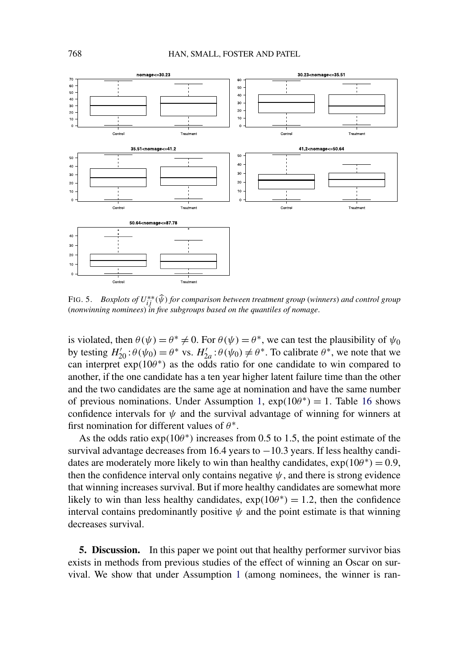<span id="page-22-0"></span>

FIG. 5. *Boxplots of U*∗∗ *ij (ψ) for comparison between treatment group* (*winners*) *and control group* (*nonwinning nominees*) *in five subgroups based on the quantiles of nomage*.

is violated, then  $\theta(\psi) = \theta^* \neq 0$ . For  $\theta(\psi) = \theta^*$ , we can test the plausibility of  $\psi_0$ by testing  $H'_{20}$ :  $\theta(\psi_0) = \theta^*$  vs.  $H'_{2a}$ :  $\theta(\psi_0) \neq \theta^*$ . To calibrate  $\theta^*$ , we note that we can interpret  $exp(10\theta^*)$  as the odds ratio for one candidate to win compared to another, if the one candidate has a ten year higher latent failure time than the other and the two candidates are the same age at nomination and have the same number of previous nominations. Under Assumption [1,](#page-12-0)  $exp(10\theta^*) = 1$ . Table [16](#page-23-0) shows confidence intervals for  $\psi$  and the survival advantage of winning for winners at first nomination for different values of  $θ$ <sup>\*</sup>.

As the odds ratio  $exp(10\theta^*)$  increases from 0.5 to 1.5, the point estimate of the survival advantage decreases from 16.4 years to −10.3 years. If less healthy candidates are moderately more likely to win than healthy candidates,  $\exp(10\theta^*) = 0.9$ , then the confidence interval only contains negative  $\psi$ , and there is strong evidence that winning increases survival. But if more healthy candidates are somewhat more likely to win than less healthy candidates,  $\exp(10\theta^*) = 1.2$ , then the confidence interval contains predominantly positive  $\psi$  and the point estimate is that winning decreases survival.

**5. Discussion.** In this paper we point out that healthy performer survivor bias exists in methods from previous studies of the effect of winning an Oscar on survival. We show that under Assumption [1](#page-12-0) (among nominees, the winner is ran-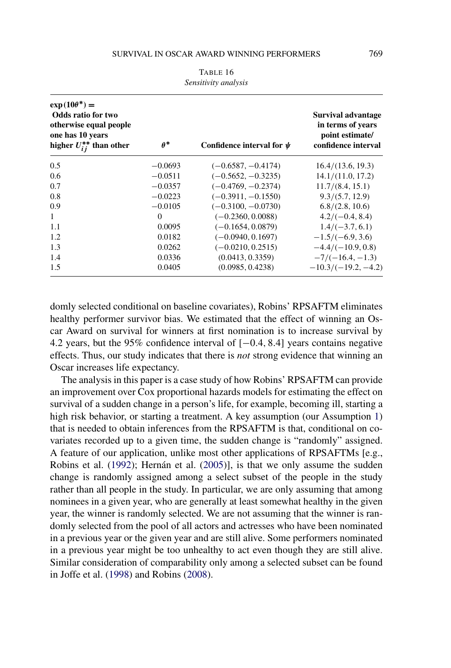<span id="page-23-0"></span>

| $\exp(10\theta^*)$ =<br>Odds ratio for two<br>otherwise equal people<br>one has 10 years<br>higher $U_{ii}^{**}$ than other | $\theta^*$ | Confidence interval for $\psi$ | Survival advantage<br>in terms of years<br>point estimate/<br>confidence interval |
|-----------------------------------------------------------------------------------------------------------------------------|------------|--------------------------------|-----------------------------------------------------------------------------------|
| 0.5                                                                                                                         | $-0.0693$  | $(-0.6587, -0.4174)$           | 16.4/(13.6, 19.3)                                                                 |
| 0.6                                                                                                                         | $-0.0511$  | $(-0.5652, -0.3235)$           | 14.1/(11.0, 17.2)                                                                 |
| 0.7                                                                                                                         | $-0.0357$  | $(-0.4769, -0.2374)$           | 11.7/(8.4, 15.1)                                                                  |
| 0.8                                                                                                                         | $-0.0223$  | $(-0.3911, -0.1550)$           | 9.3/(5.7, 12.9)                                                                   |
| 0.9                                                                                                                         | $-0.0105$  | $(-0.3100, -0.0730)$           | 6.8/(2.8, 10.6)                                                                   |
| 1                                                                                                                           | $\Omega$   | $(-0.2360, 0.0088)$            | $4.2/(-0.4, 8.4)$                                                                 |
| 1.1                                                                                                                         | 0.0095     | $(-0.1654, 0.0879)$            | $1.4/(-3.7, 6.1)$                                                                 |
| 1.2                                                                                                                         | 0.0182     | $(-0.0940, 0.1697)$            | $-1.5/(-6.9, 3.6)$                                                                |
| 1.3                                                                                                                         | 0.0262     | $(-0.0210, 0.2515)$            | $-4.4/(-10.9, 0.8)$                                                               |
| 1.4                                                                                                                         | 0.0336     | (0.0413, 0.3359)               | $-7/(-16.4, -1.3)$                                                                |
| 1.5                                                                                                                         | 0.0405     | (0.0985, 0.4238)               | $-10.3/(-19.2, -4.2)$                                                             |

TABLE 16 *Sensitivity analysis*

domly selected conditional on baseline covariates), Robins' RPSAFTM eliminates healthy performer survivor bias. We estimated that the effect of winning an Oscar Award on survival for winners at first nomination is to increase survival by 4.2 years, but the 95% confidence interval of [−0*.*4*,* 8*.*4] years contains negative effects. Thus, our study indicates that there is *not* strong evidence that winning an Oscar increases life expectancy.

The analysis in this paper is a case study of how Robins' RPSAFTM can provide an improvement over Cox proportional hazards models for estimating the effect on survival of a sudden change in a person's life, for example, becoming ill, starting a high risk behavior, or starting a treatment. A key assumption (our Assumption [1\)](#page-12-0) that is needed to obtain inferences from the RPSAFTM is that, conditional on covariates recorded up to a given time, the sudden change is "randomly" assigned. A feature of our application, unlike most other applications of RPSAFTMs [e.g., Robins et al. [\(1992\)](#page-25-0); Hernán et al. [\(2005\)](#page-25-0)], is that we only assume the sudden change is randomly assigned among a select subset of the people in the study rather than all people in the study. In particular, we are only assuming that among nominees in a given year, who are generally at least somewhat healthy in the given year, the winner is randomly selected. We are not assuming that the winner is randomly selected from the pool of all actors and actresses who have been nominated in a previous year or the given year and are still alive. Some performers nominated in a previous year might be too unhealthy to act even though they are still alive. Similar consideration of comparability only among a selected subset can be found in Joffe et al. [\(1998\)](#page-25-0) and Robins [\(2008\)](#page-25-0).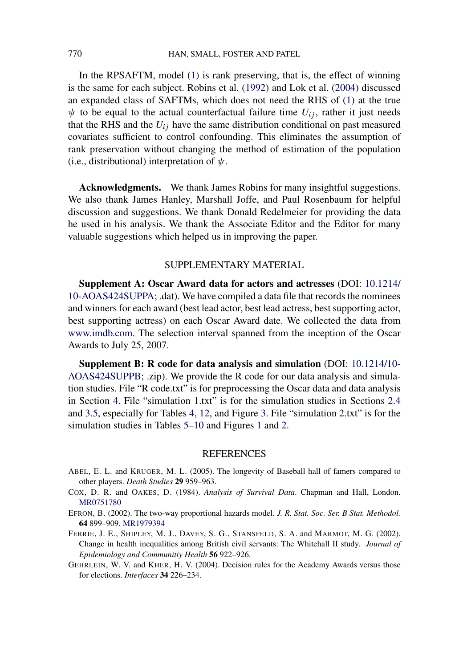<span id="page-24-0"></span>In the RPSAFTM, model [\(1\)](#page-13-0) is rank preserving, that is, the effect of winning is the same for each subject. Robins et al. [\(1992\)](#page-25-0) and Lok et al. [\(2004\)](#page-25-0) discussed an expanded class of SAFTMs, which does not need the RHS of [\(1\)](#page-13-0) at the true  $\psi$  to be equal to the actual counterfactual failure time  $U_{ij}$ , rather it just needs that the RHS and the  $U_{ij}$  have the same distribution conditional on past measured covariates sufficient to control confounding. This eliminates the assumption of rank preservation without changing the method of estimation of the population (i.e., distributional) interpretation of *ψ*.

**Acknowledgments.** We thank James Robins for many insightful suggestions. We also thank James Hanley, Marshall Joffe, and Paul Rosenbaum for helpful discussion and suggestions. We thank Donald Redelmeier for providing the data he used in his analysis. We thank the Associate Editor and the Editor for many valuable suggestions which helped us in improving the paper.

## SUPPLEMENTARY MATERIAL

**Supplement A: Oscar Award data for actors and actresses** (DOI: [10.1214/](http://dx.doi.org/10.1214/10-AOAS424SUPPA) [10-AOAS424SUPPA](http://dx.doi.org/10.1214/10-AOAS424SUPPA); .dat). We have compiled a data file that records the nominees and winners for each award (best lead actor, best lead actress, best supporting actor, best supporting actress) on each Oscar Award date. We collected the data from [www.imdb.com.](http://www.imdb.com) The selection interval spanned from the inception of the Oscar Awards to July 25, 2007.

**Supplement B: R code for data analysis and simulation** (DOI: [10.1214/10-](http://dx.doi.org/10.1214/10-AOAS424SUPPB) [AOAS424SUPPB](http://dx.doi.org/10.1214/10-AOAS424SUPPB); .zip). We provide the R code for our data analysis and simulation studies. File "R code.txt" is for preprocessing the Oscar data and data analysis in Section [4.](#page-18-0) File "simulation 1.txt" is for the simulation studies in Sections [2.4](#page-5-0) and [3.5,](#page-17-0) especially for Tables [4,](#page-7-0) [12,](#page-17-0) and Figure [3.](#page-18-0) File "simulation 2.txt" is for the simulation studies in Tables [5](#page-8-0)[–10](#page-11-0) and Figures [1](#page-10-0) and [2.](#page-12-0)

#### REFERENCES

- ABEL, E. L. and KRUGER, M. L. (2005). The longevity of Baseball hall of famers compared to other players. *Death Studies* **29** 959–963.
- COX, D. R. and OAKES, D. (1984). *Analysis of Survival Data*. Chapman and Hall, London. [MR0751780](http://www.ams.org/mathscinet-getitem?mr=0751780)
- EFRON, B. (2002). The two-way proportional hazards model. *J. R. Stat. Soc. Ser. B Stat. Methodol.* **64** 899–909. [MR1979394](http://www.ams.org/mathscinet-getitem?mr=1979394)
- FERRIE, J. E., SHIPLEY, M. J., DAVEY, S. G., STANSFELD, S. A. and MARMOT, M. G. (2002). Change in health inequalities among British civil servants: The Whitehall II study. *Journal of Epidemiology and Communitiy Health* **56** 922–926.
- GEHRLEIN, W. V. and KHER, H. V. (2004). Decision rules for the Academy Awards versus those for elections. *Interfaces* **34** 226–234.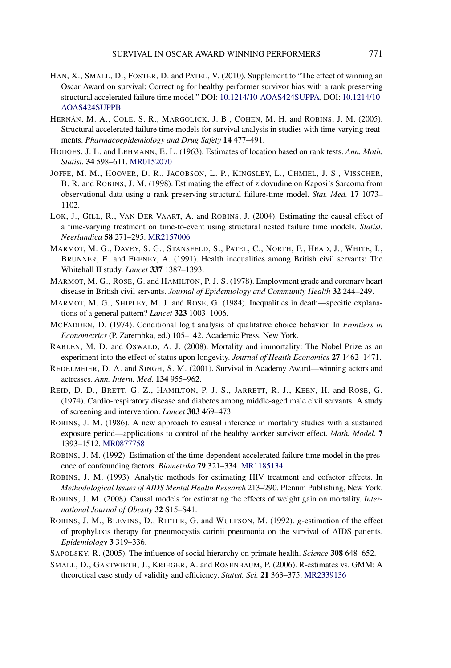- <span id="page-25-0"></span>HAN, X., SMALL, D., FOSTER, D. and PATEL, V. (2010). Supplement to "The effect of winning an Oscar Award on survival: Correcting for healthy performer survivor bias with a rank preserving structural accelerated failure time model." DOI: [10.1214/10-AOAS424SUPPA,](http://dx.doi.org/10.1214/10-AOAS424SUPPA) DOI: [10.1214/10-](http://dx.doi.org/10.1214/10-AOAS424SUPPB) [AOAS424SUPPB](http://dx.doi.org/10.1214/10-AOAS424SUPPB).
- HERNÁN, M. A., COLE, S. R., MARGOLICK, J. B., COHEN, M. H. and ROBINS, J. M. (2005). Structural accelerated failure time models for survival analysis in studies with time-varying treatments. *Pharmacoepidemiology and Drug Safety* **14** 477–491.
- HODGES, J. L. and LEHMANN, E. L. (1963). Estimates of location based on rank tests. *Ann. Math. Statist.* **34** 598–611. [MR0152070](http://www.ams.org/mathscinet-getitem?mr=0152070)
- JOFFE, M. M., HOOVER, D. R., JACOBSON, L. P., KINGSLEY, L., CHMIEL, J. S., VISSCHER, B. R. and ROBINS, J. M. (1998). Estimating the effect of zidovudine on Kaposi's Sarcoma from observational data using a rank preserving structural failure-time model. *Stat. Med.* **17** 1073– 1102.
- LOK, J., GILL, R., VAN DER VAART, A. and ROBINS, J. (2004). Estimating the causal effect of a time-varying treatment on time-to-event using structural nested failure time models. *Statist. Neerlandica* **58** 271–295. [MR2157006](http://www.ams.org/mathscinet-getitem?mr=2157006)
- MARMOT, M. G., DAVEY, S. G., STANSFELD, S., PATEL, C., NORTH, F., HEAD, J., WHITE, I., BRUNNER, E. and FEENEY, A. (1991). Health inequalities among British civil servants: The Whitehall II study. *Lancet* **337** 1387–1393.
- MARMOT, M. G., ROSE, G. and HAMILTON, P. J. S. (1978). Employment grade and coronary heart disease in British civil servants. *Journal of Epidemiology and Community Health* **32** 244–249.
- MARMOT, M. G., SHIPLEY, M. J. and ROSE, G. (1984). Inequalities in death—specific explanations of a general pattern? *Lancet* **323** 1003–1006.
- MCFADDEN, D. (1974). Conditional logit analysis of qualitative choice behavior. In *Frontiers in Econometrics* (P. Zarembka, ed.) 105–142. Academic Press, New York.
- RABLEN, M. D. and OSWALD, A. J. (2008). Mortality and immortality: The Nobel Prize as an experiment into the effect of status upon longevity. *Journal of Health Economics* **27** 1462–1471.
- REDELMEIER, D. A. and SINGH, S. M. (2001). Survival in Academy Award—winning actors and actresses. *Ann. Intern. Med.* **134** 955–962.
- REID, D. D., BRETT, G. Z., HAMILTON, P. J. S., JARRETT, R. J., KEEN, H. and ROSE, G. (1974). Cardio-respiratory disease and diabetes among middle-aged male civil servants: A study of screening and intervention. *Lancet* **303** 469–473.
- ROBINS, J. M. (1986). A new approach to causal inference in mortality studies with a sustained exposure period—applications to control of the healthy worker survivor effect. *Math. Model.* **7** 1393–1512. [MR0877758](http://www.ams.org/mathscinet-getitem?mr=0877758)
- ROBINS, J. M. (1992). Estimation of the time-dependent accelerated failure time model in the presence of confounding factors. *Biometrika* **79** 321–334. [MR1185134](http://www.ams.org/mathscinet-getitem?mr=1185134)
- ROBINS, J. M. (1993). Analytic methods for estimating HIV treatment and cofactor effects. In *Methodological Issues of AIDS Mental Health Research* 213–290. Plenum Publishing, New York.
- ROBINS, J. M. (2008). Causal models for estimating the effects of weight gain on mortality. *International Journal of Obesity* **32** S15–S41.
- ROBINS, J. M., BLEVINS, D., RITTER, G. and WULFSON, M. (1992). *g*-estimation of the effect of prophylaxis therapy for pneumocystis carinii pneumonia on the survival of AIDS patients. *Epidemiology* **3** 319–336.
- SAPOLSKY, R. (2005). The influence of social hierarchy on primate health. *Science* **308** 648–652.
- SMALL, D., GASTWIRTH, J., KRIEGER, A. and ROSENBAUM, P. (2006). R-estimates vs. GMM: A theoretical case study of validity and efficiency. *Statist. Sci.* **21** 363–375. [MR2339136](http://www.ams.org/mathscinet-getitem?mr=2339136)